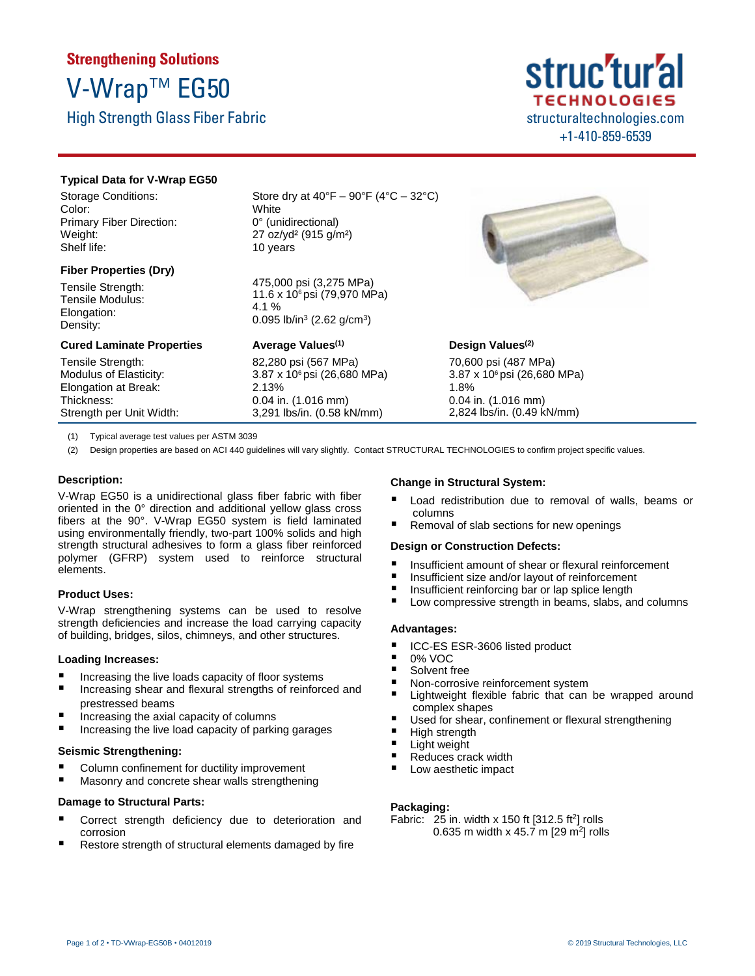# **Strengthening Solutions** V-Wrap™ EG50

High Strength Glass Fiber Fabric

## struc'tur'a **TECHNOLOGIES** structuraltechnologies.com +1-410-859-6539

### **Typical Data for V-Wrap EG50**

Storage Conditions: Color: Primary Fiber Direction: Weight: Shelf life:

## **Fiber Properties (Dry)**

Tensile Strength: Tensile Modulus: Elongation: Density:

### **Cured Laminate Properties**

Tensile Strength: Modulus of Elasticity: Elongation at Break: Thickness: Strength per Unit Width: Store dry at  $40^{\circ}F - 90^{\circ}F (4^{\circ}C - 32^{\circ}C)$ **White** 0° (unidirectional) 27 oz/yd² (915 g/m²) 10 years

475,000 psi (3,275 MPa) 11.6 x 106 psi (79,970 MPa) 4.1 % 0.095 lb/in<sup>3</sup> (2.62 g/cm<sup>3</sup>)

## **Average Values (1)**

82,280 psi (567 MPa) 3.87 x 106 psi (26,680 MPa) 2.13% 0.04 in. (1.016 mm) 3,291 lbs/in. (0.58 kN/mm)



## **Design Values (2)**

70,600 psi (487 MPa) 3.87 x 106 psi (26,680 MPa) 1.8% 0.04 in. (1.016 mm) 2,824 lbs/in. (0.49 kN/mm)

(1) Typical average test values per ASTM 3039

(2) Design properties are based on ACI 440 guidelines will vary slightly. Contact STRUCTURAL TECHNOLOGIES to confirm project specific values.

## **Description:**

V-Wrap EG50 is a unidirectional glass fiber fabric with fiber oriented in the 0° direction and additional yellow glass cross fibers at the 90°. V-Wrap EG50 system is field laminated using environmentally friendly, two-part 100% solids and high strength structural adhesives to form a glass fiber reinforced polymer (GFRP) system used to reinforce structural elements.

## **Product Uses:**

V-Wrap strengthening systems can be used to resolve strength deficiencies and increase the load carrying capacity of building, bridges, silos, chimneys, and other structures.

#### **Loading Increases:**

- Increasing the live loads capacity of floor systems
- Increasing shear and flexural strengths of reinforced and prestressed beams
- Increasing the axial capacity of columns
- Increasing the live load capacity of parking garages

#### **Seismic Strengthening:**

- Column confinement for ductility improvement
- Masonry and concrete shear walls strengthening

#### **Damage to Structural Parts:**

- Correct strength deficiency due to deterioration and corrosion
- Restore strength of structural elements damaged by fire

## **Change in Structural System:**

- Load redistribution due to removal of walls, beams or columns
- Removal of slab sections for new openings

#### **Design or Construction Defects:**

- Insufficient amount of shear or flexural reinforcement
- Insufficient size and/or layout of reinforcement
- Insufficient reinforcing bar or lap splice length
- Low compressive strength in beams, slabs, and columns

#### **Advantages:**

- ICC-ES ESR-3606 listed product
- $\blacksquare$  0% VOC
- Solvent free
- Non-corrosive reinforcement system
- Lightweight flexible fabric that can be wrapped around complex shapes
- Used for shear, confinement or flexural strengthening
- High strength
- **Light weight**
- Reduces crack width
- Low aesthetic impact

#### **Packaging:**

Fabric: 25 in. width x 150 ft  $[312.5 \text{ ft}^2]$  rolls 0.635 m width x 45.7 m  $[29 \text{ m}^2]$  rolls